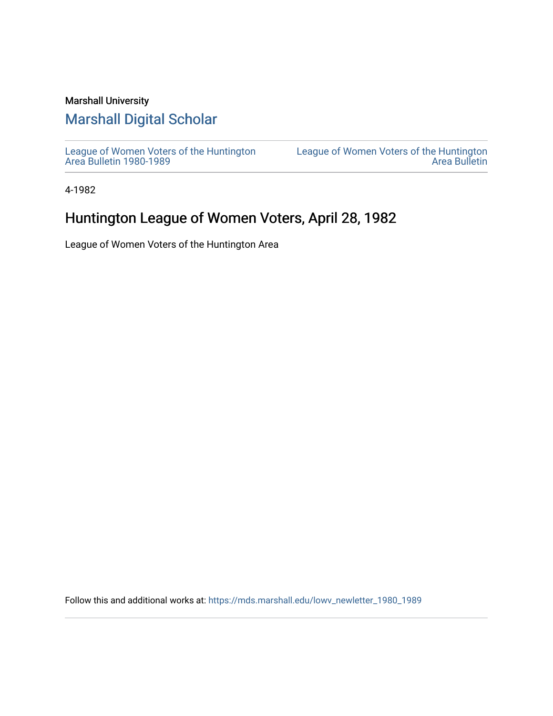## Marshall University

## [Marshall Digital Scholar](https://mds.marshall.edu/)

[League of Women Voters of the Huntington](https://mds.marshall.edu/lowv_newletter_1980_1989) [Area Bulletin 1980-1989](https://mds.marshall.edu/lowv_newletter_1980_1989) 

[League of Women Voters of the Huntington](https://mds.marshall.edu/lowv_newsletter)  [Area Bulletin](https://mds.marshall.edu/lowv_newsletter) 

4-1982

## Huntington League of Women Voters, April 28, 1982

League of Women Voters of the Huntington Area

Follow this and additional works at: [https://mds.marshall.edu/lowv\\_newletter\\_1980\\_1989](https://mds.marshall.edu/lowv_newletter_1980_1989?utm_source=mds.marshall.edu%2Flowv_newletter_1980_1989%2F22&utm_medium=PDF&utm_campaign=PDFCoverPages)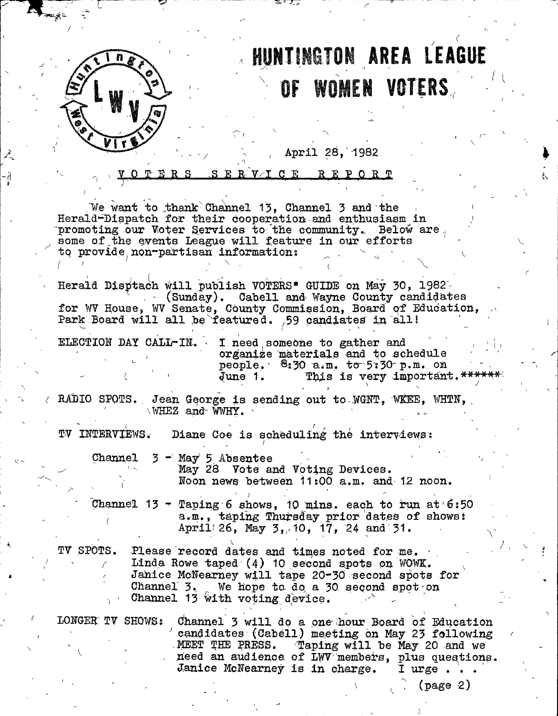

# **HUNTINGTON AREA LEAGUE** WOMEN VOTERS OF

April 28, 1982

VTCE REPORT ERS

We want to thank Channel 13, Channel 3 and the Herald-Dispatch for their cooperation and enthusiasm in promoting our Voter Services to the community. Below are some of the events League will feature in our efforts to provide non-partisan information:

Herald Disptach will publish VOTERS" GUIDE on May 30, 1982 (Sunday). Cabell and Wayne County candidates for WV House, WV Senate, County Commission, Board of Education, Park Board will all be featured. 59 candiates in all!

ELECTION DAY CALL-IN.

I need someone to gather and organize materials and to schedule people. 8:30 a.m. to 5:30 p.m. on This is very important. \*\*\*\*\*\*\* June 1.

RADIO SPOTS. Jean George is sending out to WGNT, WKEE, WHTN, WHEZ and WWHY.

TV INTERVIEWS. Diane Coe is scheduling the interviews:

Channel 3 - May 5 Absentee

May 28 Vote and Voting Devices. Noon news between 11:00 a.m. and 12 noon.

Channel 13 - Taping 6 shows, 10 mins. each to run at  $6:50$ a.m., taping Thursday prior dates of shows: April 26, May 3, 10, 17, 24 and 31.

TV SPOTS. Please record dates and times noted for me. Linda Rowe taped (4) 10 second spots on WOWK. Janice McNearney will tape 20-30 second spots for Channel 3. We hope to do a 30 second spot on<br>Channel 13 with voting device.

LONGER TV SHOWS: Channel 3 will do a one hour Board of Education candidates (Cabell) meeting on May 23 following Taping will be May 20 and we MEET THE PRESS. need an audience of LWV members, plus questions. Janice McNearney is in charge. I urge.

 $(page 2)$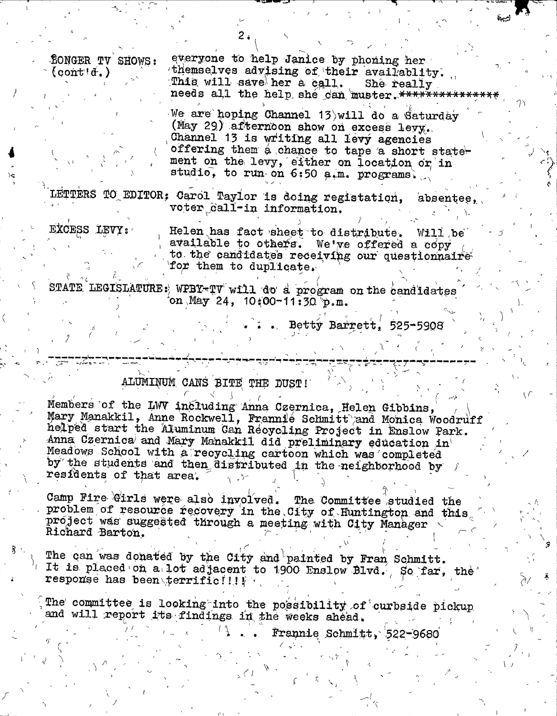**fonger TV SHOWS:**  $(const.\)$ 

everyone to help Janice by phoning her themselves advising of their availablity. This will save her a call. She really needs all the help she can muster. \*\*\*\*\*\*\*\*\*\*\*\*\*\*\*\*

We are hoping Channel 13 will do a Saturday (May 29) afternoon show on excess levy. Channel 13 is writing all levy agencies offering them a chance to tape a short statement on the levy, either on location or in studio, to run on 6:50 a.m. programs.

LETTERS TO EDITOR; Carol Taylor is doing registation, absentee, voter call-in information.

EXCESS LEVY:

Helen has fact sheet to distribute. Will be available to others. We've offered a copy to the candidates receiving our questionnaire for them to duplicate.

STATE LEGISLATURE: WPBY-TV will do a program on the candidates on May 24,  $10\{00-11:30\}p.m.$ 

. . . Betty Barrett, 525-5908

### ALUMINUM CANS BITE THE DUST!

Members of the LWV including Anna Czernica, Helen Gibbins, Mary Manakkil, Anne Rockwell, Frannie Schmitt and Monica Woodruff helped start the Aluminum Can Recycling Project in Enslow Park. Anna Czernica and Mary Manakkil did preliminary education in Meadows School with a recycling cartoon which was completed by the students and then distributed in the neighborhood by residents of that area.

Camp Fire Girls were also involved. The Committee studied the problem of resource recovery in the City of Huntington and this project was suggested through a meeting with City Manager Richard Barton.

The can was donated by the City and painted by Fran Schmitt. It is placed on a lot adjacent to 1900 Enslow Blvd. So far, the response has been terrificilly

The committee is looking into the possibility of curbside pickup and will report its findings in the weeks ahead.

Frannie Schmitt, 522-9680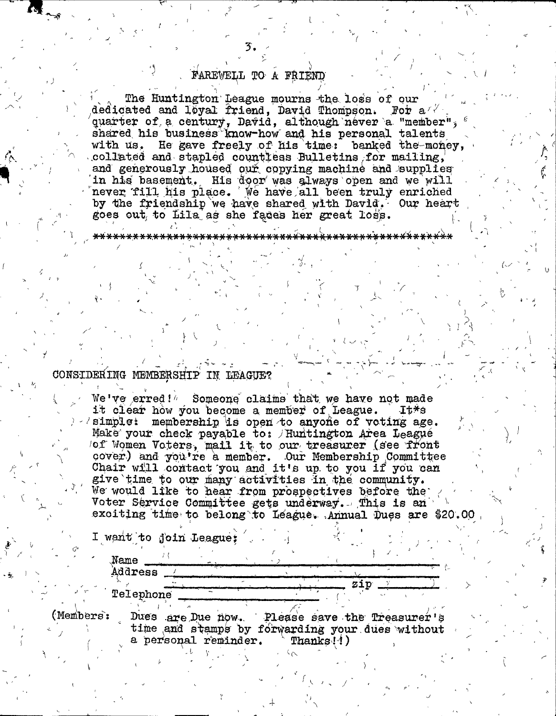### FAREVELL TO A FRIEND

**3.**

The Huntington League mourns the loss of our article and loyel friend, David Thompson. For a dedicated and loyal friend, David Thompson. quarter of, a century, David, although never a "member", shared his business know-how and his personal talents with us. He gave freely of his time: banked the money, .collated and stapled countless Bulletins for mailing, and generously housed our copying machine and supplies in his basement. His door was always open and we will never fill his place. We have all been truly enriched by the friendship we have shared with David. Our heart goes out to Lila as she fades her great loss.

*f-, i*

#### 

#### CONSIDERING MEMBERSHIP IN LEAGUE?

*'\t*

We've erred!<sup>"</sup> Someone claims that we have not made<br>it clear how you become a member of League. It\*s it clear how you become a member of League. *)*  $\ell$  simple: membership is open to anyone of voting age. Make your check payable to: / Huntington Area League  $\sqrt{p}$  Women Voters, mail it to our treasurer (see front cover) and you're a member. Our Membership Committee Chair will contact you and it's up to you if you can give time to our many activities in the community. We would like to hear from prospectives before the Voter Service Committee gets underway. This is an exciting time to belong to L eague. Annual Dues are \$20.00

 $\langle$ 

s ip

*1*

*h*

I want to join League;

JJame **Address** 

**Jelephone**

**(Menibe**

 $\overline{1}$ 

 $\lambda$ 

*m*

Dues are Due how. Please save the Treasurer's time and stamps by forwarding your dues without a personal reminder.  $\text{``Thanks} ! !$ )

**- ^ s**